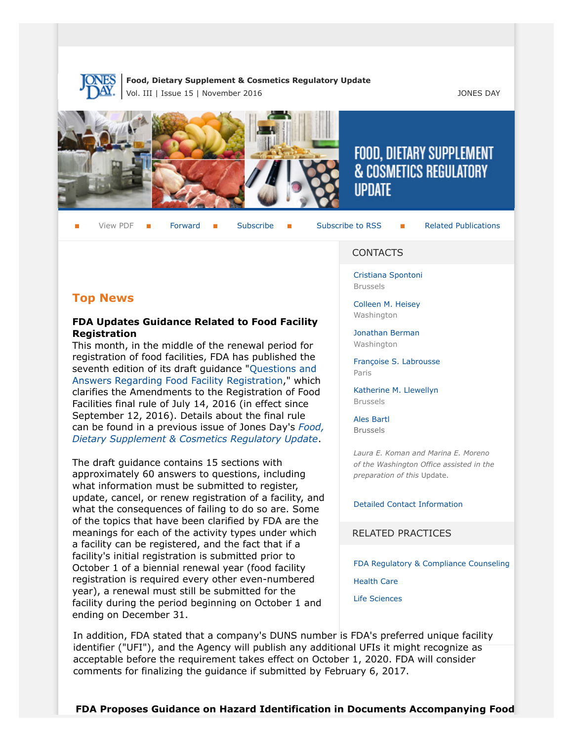

**Food, Dietary Supplement & Cosmetics Regulatory Update** Vol. III | Issue 15 | November 2016 **JONES DAY** 



# **FOOD, DIETARY SUPPLEMENT** & COSMETICS REGULATORY **UPDATE**

View PDF **[Forward](http://thewritestuff.jonesday.com/cff/7d89cb3f97d9c405223d237a271c87f81bdd2ad0/) Bubscribe Follow [Subscribe](http://www.jonesday.com/newsknowledge/publications.aspx) to RSS** [Related Publications](http://www.jonesday.com/experiencepractices/servicedetail.aspx?serviceid=593cb647-a5c4-49c3-9086-fedc34b24e1d§ion=Publications)

# **Top News**

# **FDA Updates Guidance Related to Food Facility Registration**

This month, in the middle of the renewal period for registration of food facilities, FDA has published the seventh edition of its draft guidance "[Questions and](http://www.fda.gov/downloads/Food/GuidanceRegulation/UCM332460.pdf) [Answers Regarding Food Facility Registration](http://www.fda.gov/downloads/Food/GuidanceRegulation/UCM332460.pdf)," which clarifies the Amendments to the Registration of Food Facilities final rule of July 14, 2016 (in effect since September 12, 2016). Details about the final rule can be found in a previous issue of Jones Day's *[Food,](http://www.jonesday.com/files/Publication/accf2a6c-537c-4fc9-a483-744ac5ff3982/Presentation/PublicationAttachment/61a9d7fb-da3e-4c63-8389-877ebea2ed58/Food%20Dietary%20Supplement%20%26%20Cosmetics%20Update%20Vol%20III%20Issue%2011.pdf) [Dietary Supplement & Cosmetics Regulatory Update](http://www.jonesday.com/files/Publication/accf2a6c-537c-4fc9-a483-744ac5ff3982/Presentation/PublicationAttachment/61a9d7fb-da3e-4c63-8389-877ebea2ed58/Food%20Dietary%20Supplement%20%26%20Cosmetics%20Update%20Vol%20III%20Issue%2011.pdf)*.

The draft guidance contains 15 sections with approximately 60 answers to questions, including what information must be submitted to register, update, cancel, or renew registration of a facility, and what the consequences of failing to do so are. Some of the topics that have been clarified by FDA are the meanings for each of the activity types under which a facility can be registered, and the fact that if a facility's initial registration is submitted prior to October 1 of a biennial renewal year (food facility registration is required every other even-numbered year), a renewal must still be submitted for the facility during the period beginning on October 1 and ending on December 31.

### CONTACTS

[Cristiana Spontoni](http://www.jonesday.com/cspontoni) Brussels

[Colleen M. Heisey](http://www.jonesday.com/cmheisey) Washington

[Jonathan Berman](http://www.jonesday.com/jberman) **Washington** 

[Françoise S. Labrousse](http://www.jonesday.com/flabrousse) Paris

[Katherine M. Llewellyn](http://www.jonesday.com/kllewellyn) Brussels

[Ales Bartl](http://www.jonesday.com/abartl/) Brussels

*Laura E. Koman and Marina E. Moreno of the Washington Office assisted in the preparation of this* Update.

[Detailed Contact Information](#page-5-0)

RELATED PRACTICES

[FDA Regulatory & Compliance Counseling](http://www.jonesday.com/fdaregulatoryandcompliancecounseling/)

[Health Care](http://www.jonesday.com/Health-Care-Practices)

[Life Sciences](http://www.jonesday.com/lifesciences/)

In addition, FDA stated that a company's DUNS number is FDA's preferred unique facility identifier ("UFI"), and the Agency will publish any additional UFIs it might recognize as acceptable before the requirement takes effect on October 1, 2020. FDA will consider comments for finalizing the guidance if submitted by February 6, 2017.

**FDA Proposes Guidance on Hazard Identification in Documents Accompanying Food**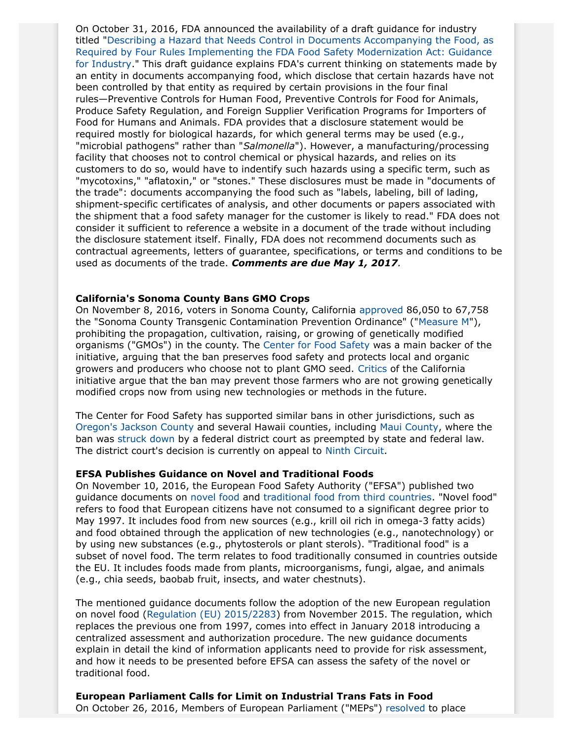On October 31, 2016, FDA announced the availability of a draft guidance for industry titled "[Describing a Hazard that Needs Control in Documents Accompanying the Food, as](http://www.fda.gov/downloads/Food/GuidanceRegulation/GuidanceDocumentsRegulatoryInformation/UCM526490.pdf) [Required by Four Rules Implementing the FDA Food Safety Modernization Act: Guidance](http://www.fda.gov/downloads/Food/GuidanceRegulation/GuidanceDocumentsRegulatoryInformation/UCM526490.pdf) [for Industry.](http://www.fda.gov/downloads/Food/GuidanceRegulation/GuidanceDocumentsRegulatoryInformation/UCM526490.pdf)" This draft guidance explains FDA's current thinking on statements made by an entity in documents accompanying food, which disclose that certain hazards have not been controlled by that entity as required by certain provisions in the four final rules—Preventive Controls for Human Food, Preventive Controls for Food for Animals, Produce Safety Regulation, and Foreign Supplier Verification Programs for Importers of Food for Humans and Animals. FDA provides that a disclosure statement would be required mostly for biological hazards, for which general terms may be used (e.g., "microbial pathogens" rather than "*Salmonella*"). However, a manufacturing/processing facility that chooses not to control chemical or physical hazards, and relies on its customers to do so, would have to indentify such hazards using a specific term, such as "mycotoxins," "aflatoxin," or "stones." These disclosures must be made in "documents of the trade": documents accompanying the food such as "labels, labeling, bill of lading, shipment-specific certificates of analysis, and other documents or papers associated with the shipment that a food safety manager for the customer is likely to read." FDA does not consider it sufficient to reference a website in a document of the trade without including the disclosure statement itself. Finally, FDA does not recommend documents such as contractual agreements, letters of guarantee, specifications, or terms and conditions to be used as documents of the trade. *Comments are due May 1, 2017.*

### **California's Sonoma County Bans GMO Crops**

On November 8, 2016, voters in Sonoma County, California [approved](http://vote.sonoma-county.org/content.aspx?sid=1009&id=2456) 86,050 to 67,758 the "Sonoma County Transgenic Contamination Prevention Ordinance" (["Measure M"](https://ballotpedia.org/Sonoma_County,_California,_Genetically_Modified_Organism_(GMO)_Ban,_Measure_M_(November_2016))), prohibiting the propagation, cultivation, raising, or growing of genetically modified organisms ("GMOs") in the county. The [Center for Food Safety](http://www.centerforfoodsafety.org/press-releases/4569/win-for-democracy-sonoma-county-votes-to-ban-gmo-crops) was a main backer of the initiative, arguing that the ban preserves food safety and protects local and organic growers and producers who choose not to plant GMO seed. [Critics](http://westernfarmpress.com/sonoma-ag-groups-join-oppose-anti-gmo-initiative) of the California initiative argue that the ban may prevent those farmers who are not growing genetically modified crops now from using new technologies or methods in the future.

The Center for Food Safety has supported similar bans in other jurisdictions, such as [Oregon's Jackson County](http://www.centerforfoodsafety.org/blog/3944/update-one-year-after-jackson-county-bans-ge-crops-center-for-food-safety-successfully-defends-family-farmers-right-to-protect-against-ge-contamination) and several Hawaii counties, including [Maui County,](http://www.jonesday.com/food-dietary-supplement--cosmetics-regulatory-update-issue-18-11-13-2014/) where the ban was [struck down](https://scholar.google.com/scholar_case?case=5140615808285170719&hl=en&as_sdt=6&as_vis=1&oi=scholarr) by a federal district court as preempted by state and federal law. The district court's decision is currently on appeal to [Ninth Circuit](http://www.centerforfoodsafety.org/press-releases/4407/landmark-oral-arguments-on-local-right-to-regulate-genetic-engineered-crops-and-pesticides-before-the-ninth-circuit-court-of-appeals).

#### **EFSA Publishes Guidance on Novel and Traditional Foods**

On November 10, 2016, the European Food Safety Authority ("EFSA") published two guidance documents on [novel food](http://www.efsa.europa.eu/en/efsajournal/pub/4594) and [traditional food from third countries.](http://www.efsa.europa.eu/en/efsajournal/pub/4590) "Novel food" refers to food that European citizens have not consumed to a significant degree prior to May 1997. It includes food from new sources (e.g., krill oil rich in omega-3 fatty acids) and food obtained through the application of new technologies (e.g., nanotechnology) or by using new substances (e.g., phytosterols or plant sterols). "Traditional food" is a subset of novel food. The term relates to food traditionally consumed in countries outside the EU. It includes foods made from plants, microorganisms, fungi, algae, and animals (e.g., chia seeds, baobab fruit, insects, and water chestnuts).

The mentioned guidance documents follow the adoption of the new European regulation on novel food [\(Regulation \(EU\) 2015/2283](http://eur-lex.europa.eu/legal-content/EN/TXT/?uri=CELEX:32015R2283)) from November 2015. The regulation, which replaces the previous one from 1997, comes into effect in January 2018 introducing a centralized assessment and authorization procedure. The new guidance documents explain in detail the kind of information applicants need to provide for risk assessment, and how it needs to be presented before EFSA can assess the safety of the novel or traditional food.

**European Parliament Calls for Limit on Industrial Trans Fats in Food** On October 26, 2016, Members of European Parliament ("MEPs") [resolved](http://www.europarl.europa.eu/news/en/news-room/20161020IPR47866/meps-call-for-eu-limit-on-industrial-trans-fats-in-food) to place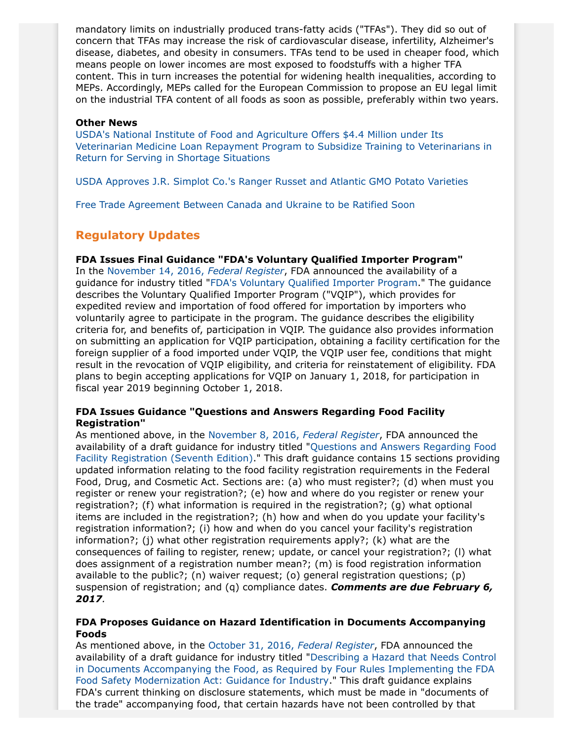mandatory limits on industrially produced trans-fatty acids ("TFAs"). They did so out of concern that TFAs may increase the risk of cardiovascular disease, infertility, Alzheimer's disease, diabetes, and obesity in consumers. TFAs tend to be used in cheaper food, which means people on lower incomes are most exposed to foodstuffs with a higher TFA content. This in turn increases the potential for widening health inequalities, according to MEPs. Accordingly, MEPs called for the European Commission to propose an EU legal limit on the industrial TFA content of all foods as soon as possible, preferably within two years.

#### **Other News**

[USDA's National Institute of Food and Agriculture Offers \\$4.4 Million under Its](https://nifa.usda.gov/sites/default/files/program/2016_VMLRP%20RFA.pdf) [Veterinarian Medicine Loan Repayment Program to Subsidize Training to Veterinarians in](https://nifa.usda.gov/sites/default/files/program/2016_VMLRP%20RFA.pdf) [Return for Serving in Shortage Situations](https://nifa.usda.gov/sites/default/files/program/2016_VMLRP%20RFA.pdf)

[USDA Approves J.R. Simplot Co.'s Ranger Russet and Atlantic GMO Potato Varieties](http://www.idahostatesman.com/news/business/article111660387.html)

[Free Trade Agreement Between Canada and Ukraine to be Ratified Soon](http://www.globalmeatnews.com/Industry-Markets/Canadian-Meat-Council-welcomes-start-of-Ukraine-FTA?utm_source=newsletter_daily&utm_medium=email&utm_campaign=07-Nov-2016&c=9b0%2FNwNWp7FspRF1TGOpmIg05Cm5TImw&p2=)

# **Regulatory Updates**

### **FDA Issues Final Guidance "FDA's Voluntary Qualified Importer Program"**

In the [November 14, 2016,](https://www.gpo.gov/fdsys/pkg/FR-2016-11-14/pdf/2016-27252.pdf) *Federal Register*, FDA announced the availability of a guidance for industry titled "[FDA's Voluntary Qualified Importer Program](http://www.fda.gov/downloads/Food/GuidanceRegulation/GuidanceDocumentsRegulatoryInformation/UCM448558.pdf)." The guidance describes the Voluntary Qualified Importer Program ("VQIP"), which provides for expedited review and importation of food offered for importation by importers who voluntarily agree to participate in the program. The guidance describes the eligibility criteria for, and benefits of, participation in VQIP. The guidance also provides information on submitting an application for VQIP participation, obtaining a facility certification for the foreign supplier of a food imported under VQIP, the VQIP user fee, conditions that might result in the revocation of VQIP eligibility, and criteria for reinstatement of eligibility. FDA plans to begin accepting applications for VQIP on January 1, 2018, for participation in fiscal year 2019 beginning October 1, 2018.

### **FDA Issues Guidance "Questions and Answers Regarding Food Facility Registration"**

As mentioned above, in the [November 8, 2016,](https://www.gpo.gov/fdsys/pkg/FR-2016-11-08/pdf/2016-26930.pdf) *Federal Register*, FDA announced the availability of a draft guidance for industry titled "[Questions and Answers Regarding Food](http://www.fda.gov/downloads/Food/GuidanceRegulation/UCM332460.pdf) [Facility Registration \(Seventh Edition\)](http://www.fda.gov/downloads/Food/GuidanceRegulation/UCM332460.pdf)." This draft guidance contains 15 sections providing updated information relating to the food facility registration requirements in the Federal Food, Drug, and Cosmetic Act. Sections are: (a) who must register?; (d) when must you register or renew your registration?; (e) how and where do you register or renew your registration?; (f) what information is required in the registration?; (g) what optional items are included in the registration?; (h) how and when do you update your facility's registration information?; (i) how and when do you cancel your facility's registration information?; (j) what other registration requirements apply?; (k) what are the consequences of failing to register, renew; update, or cancel your registration?; (l) what does assignment of a registration number mean?; (m) is food registration information available to the public?; (n) waiver request; (o) general registration questions; (p) suspension of registration; and (q) compliance dates. *Comments are due February 6, 2017.*

### **FDA Proposes Guidance on Hazard Identification in Documents Accompanying Foods**

As mentioned above, in the [October 31, 2016,](https://www.gpo.gov/fdsys/pkg/FR-2016-10-31/pdf/2016-26245.pdf) *Federal Register*, FDA announced the availability of a draft guidance for industry titled "[Describing a Hazard that Needs Control](http://www.fda.gov/downloads/Food/GuidanceRegulation/GuidanceDocumentsRegulatoryInformation/UCM526490.pdf) [in Documents Accompanying the Food, as Required by Four Rules Implementing the FDA](http://www.fda.gov/downloads/Food/GuidanceRegulation/GuidanceDocumentsRegulatoryInformation/UCM526490.pdf) [Food Safety Modernization Act: Guidance for Industry.](http://www.fda.gov/downloads/Food/GuidanceRegulation/GuidanceDocumentsRegulatoryInformation/UCM526490.pdf)" This draft guidance explains FDA's current thinking on disclosure statements, which must be made in "documents of the trade" accompanying food, that certain hazards have not been controlled by that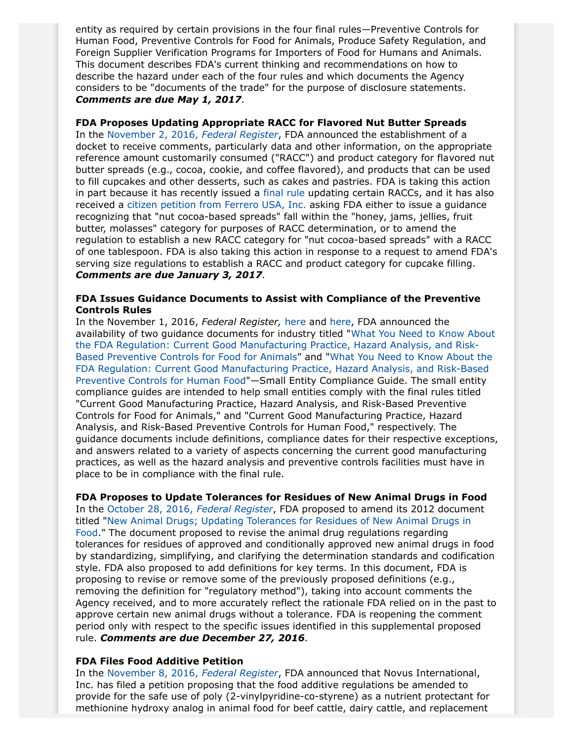entity as required by certain provisions in the four final rules—Preventive Controls for Human Food, Preventive Controls for Food for Animals, Produce Safety Regulation, and Foreign Supplier Verification Programs for Importers of Food for Humans and Animals. This document describes FDA's current thinking and recommendations on how to describe the hazard under each of the four rules and which documents the Agency considers to be "documents of the trade" for the purpose of disclosure statements. *Comments are due May 1, 2017.*

# **FDA Proposes Updating Appropriate RACC for Flavored Nut Butter Spreads**

In the [November 2, 2016,](https://www.gpo.gov/fdsys/pkg/FR-2016-11-02/pdf/2016-26407.pdf) *Federal Register*, FDA announced the establishment of a docket to receive comments, particularly data and other information, on the appropriate reference amount customarily consumed ("RACC") and product category for flavored nut butter spreads (e.g., cocoa, cookie, and coffee flavored), and products that can be used to fill cupcakes and other desserts, such as cakes and pastries. FDA is taking this action in part because it has recently issued a [final rule](https://www.regulations.gov/document?D=FDA-2004-N-0258-0136&source=govdelivery&utm_medium=email&utm_source=govdelivery) updating certain RACCs, and it has also received a [citizen petition from Ferrero USA, Inc.](https://www.regulations.gov/document?D=FDA-2014-P-0263-0001) asking FDA either to issue a guidance recognizing that "nut cocoa-based spreads" fall within the "honey, jams, jellies, fruit butter, molasses" category for purposes of RACC determination, or to amend the regulation to establish a new RACC category for "nut cocoa-based spreads" with a RACC of one tablespoon. FDA is also taking this action in response to a request to amend FDA's serving size regulations to establish a RACC and product category for cupcake filling. *Comments are due January 3, 2017.*

### **FDA Issues Guidance Documents to Assist with Compliance of the Preventive Controls Rules**

In the November 1, 2016, *Federal Register,* [here](https://www.gpo.gov/fdsys/pkg/FR-2016-11-01/pdf/2016-26314.pdf) and [here](https://www.gpo.gov/fdsys/pkg/FR-2016-11-01/pdf/2016-26315.pdf), FDA announced the availability of two guidance documents for industry titled "[What You Need to Know About](http://www.fda.gov/ucm/groups/fdagov-public/@fdagov-av-gen/documents/document/ucm499202.pdf) [the FDA Regulation: Current Good Manufacturing Practice, Hazard Analysis, and Risk-](http://www.fda.gov/ucm/groups/fdagov-public/@fdagov-av-gen/documents/document/ucm499202.pdf)[Based Preventive Controls for Food for Animals"](http://www.fda.gov/ucm/groups/fdagov-public/@fdagov-av-gen/documents/document/ucm499202.pdf) and "[What You Need to Know About the](http://www.fda.gov/downloads/Food/GuidanceRegulation/GuidanceDocumentsRegulatoryInformation/UCM526507.pdf) [FDA Regulation: Current Good Manufacturing Practice, Hazard Analysis, and Risk-Based](http://www.fda.gov/downloads/Food/GuidanceRegulation/GuidanceDocumentsRegulatoryInformation/UCM526507.pdf) [Preventive Controls for Human Food"](http://www.fda.gov/downloads/Food/GuidanceRegulation/GuidanceDocumentsRegulatoryInformation/UCM526507.pdf)—Small Entity Compliance Guide. The small entity compliance guides are intended to help small entities comply with the final rules titled "Current Good Manufacturing Practice, Hazard Analysis, and Risk-Based Preventive Controls for Food for Animals," and "Current Good Manufacturing Practice, Hazard Analysis, and Risk-Based Preventive Controls for Human Food," respectively. The guidance documents include definitions, compliance dates for their respective exceptions, and answers related to a variety of aspects concerning the current good manufacturing practices, as well as the hazard analysis and preventive controls facilities must have in place to be in compliance with the final rule.

# **FDA Proposes to Update Tolerances for Residues of New Animal Drugs in Food**

In the [October 28, 2016,](https://www.gpo.gov/fdsys/pkg/FR-2016-10-28/pdf/2016-26043.pdf) *Federal Register*, FDA proposed to amend its 2012 document titled ["New Animal Drugs; Updating Tolerances for Residues of New Animal Drugs in](https://www.gpo.gov/fdsys/pkg/FR-2012-12-05/pdf/2012-29322.pdf) [Food.](https://www.gpo.gov/fdsys/pkg/FR-2012-12-05/pdf/2012-29322.pdf)" The document proposed to revise the animal drug regulations regarding tolerances for residues of approved and conditionally approved new animal drugs in food by standardizing, simplifying, and clarifying the determination standards and codification style. FDA also proposed to add definitions for key terms. In this document, FDA is proposing to revise or remove some of the previously proposed definitions (e.g., removing the definition for "regulatory method"), taking into account comments the Agency received, and to more accurately reflect the rationale FDA relied on in the past to approve certain new animal drugs without a tolerance. FDA is reopening the comment period only with respect to the specific issues identified in this supplemental proposed rule. *Comments are due December 27, 2016.*

#### **FDA Files Food Additive Petition**

In the [November 8, 2016,](https://www.gpo.gov/fdsys/pkg/FR-2016-11-08/pdf/2016-26922.pdf) *Federal Register*, FDA announced that Novus International, Inc. has filed a petition proposing that the food additive regulations be amended to provide for the safe use of poly (2-vinylpyridine-co-styrene) as a nutrient protectant for methionine hydroxy analog in animal food for beef cattle, dairy cattle, and replacement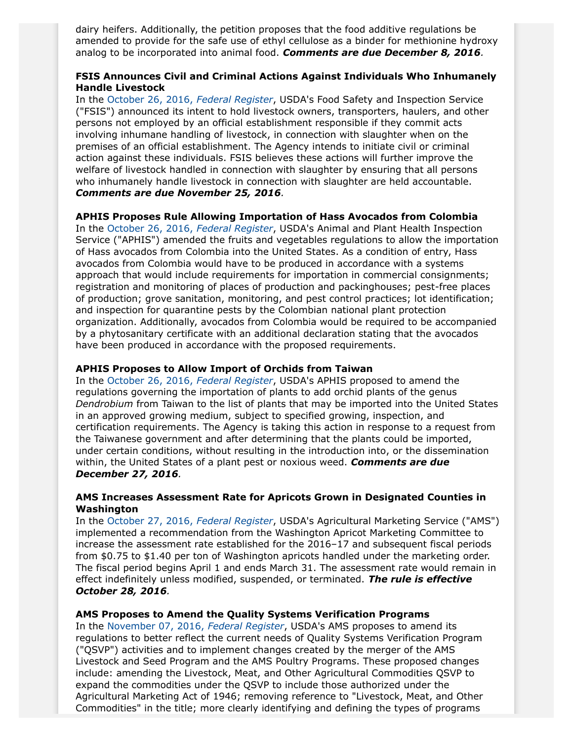dairy heifers. Additionally, the petition proposes that the food additive regulations be amended to provide for the safe use of ethyl cellulose as a binder for methionine hydroxy analog to be incorporated into animal food. *Comments are due December 8, 2016.*

# **FSIS Announces Civil and Criminal Actions Against Individuals Who Inhumanely Handle Livestock**

In the [October 26, 2016,](https://www.gpo.gov/fdsys/pkg/FR-2016-10-26/pdf/2016-24754.pdf) *Federal Register*, USDA's Food Safety and Inspection Service ("FSIS") announced its intent to hold livestock owners, transporters, haulers, and other persons not employed by an official establishment responsible if they commit acts involving inhumane handling of livestock, in connection with slaughter when on the premises of an official establishment. The Agency intends to initiate civil or criminal action against these individuals. FSIS believes these actions will further improve the welfare of livestock handled in connection with slaughter by ensuring that all persons who inhumanely handle livestock in connection with slaughter are held accountable. *Comments are due November 25, 2016.*

### **APHIS Proposes Rule Allowing Importation of Hass Avocados from Colombia**

In the [October 26, 2016,](https://www.gpo.gov/fdsys/pkg/FR-2016-10-27/pdf/2016-26033.pdf) *Federal Register*, USDA's Animal and Plant Health Inspection Service ("APHIS") amended the fruits and vegetables regulations to allow the importation of Hass avocados from Colombia into the United States. As a condition of entry, Hass avocados from Colombia would have to be produced in accordance with a systems approach that would include requirements for importation in commercial consignments; registration and monitoring of places of production and packinghouses; pest-free places of production; grove sanitation, monitoring, and pest control practices; lot identification; and inspection for quarantine pests by the Colombian national plant protection organization. Additionally, avocados from Colombia would be required to be accompanied by a phytosanitary certificate with an additional declaration stating that the avocados have been produced in accordance with the proposed requirements.

### **APHIS Proposes to Allow Import of Orchids from Taiwan**

In the [October 26, 2016,](https://www.gpo.gov/fdsys/pkg/FR-2016-10-27/pdf/2016-26031.pdf) *Federal Register*, USDA's APHIS proposed to amend the regulations governing the importation of plants to add orchid plants of the genus *Dendrobium* from Taiwan to the list of plants that may be imported into the United States in an approved growing medium, subject to specified growing, inspection, and certification requirements. The Agency is taking this action in response to a request from the Taiwanese government and after determining that the plants could be imported, under certain conditions, without resulting in the introduction into, or the dissemination within, the United States of a plant pest or noxious weed. *Comments are due December 27, 2016.*

### **AMS Increases Assessment Rate for Apricots Grown in Designated Counties in Washington**

In the [October 27, 2016,](https://www.gpo.gov/fdsys/pkg/FR-2016-10-27/pdf/2016-25694.pdf) *Federal Register*, USDA's Agricultural Marketing Service ("AMS") implemented a recommendation from the Washington Apricot Marketing Committee to increase the assessment rate established for the 2016–17 and subsequent fiscal periods from \$0.75 to \$1.40 per ton of Washington apricots handled under the marketing order. The fiscal period begins April 1 and ends March 31. The assessment rate would remain in effect indefinitely unless modified, suspended, or terminated. *The rule is effective October 28, 2016.*

### **AMS Proposes to Amend the Quality Systems Verification Programs**

In the [November 07, 2016,](https://www.gpo.gov/fdsys/pkg/FR-2016-11-07/pdf/2016-25690.pdf) *Federal Register*, USDA's AMS proposes to amend its regulations to better reflect the current needs of Quality Systems Verification Program ("QSVP") activities and to implement changes created by the merger of the AMS Livestock and Seed Program and the AMS Poultry Programs. These proposed changes include: amending the Livestock, Meat, and Other Agricultural Commodities QSVP to expand the commodities under the QSVP to include those authorized under the Agricultural Marketing Act of 1946; removing reference to "Livestock, Meat, and Other Commodities" in the title; more clearly identifying and defining the types of programs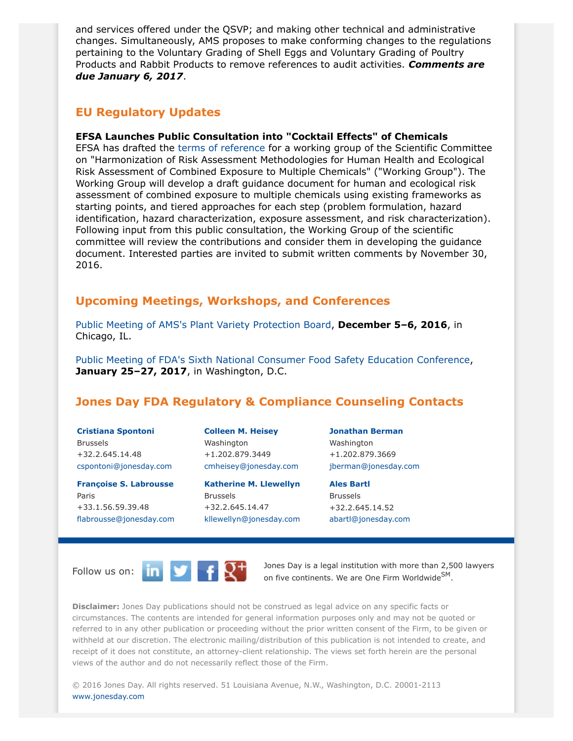and services offered under the QSVP; and making other technical and administrative changes. Simultaneously, AMS proposes to make conforming changes to the regulations pertaining to the Voluntary Grading of Shell Eggs and Voluntary Grading of Poultry Products and Rabbit Products to remove references to audit activities. *Comments are due January 6, 2017*.

# **EU Regulatory Updates**

# **EFSA Launches Public Consultation into "Cocktail Effects" of Chemicals**

EFSA has drafted the [terms of reference](https://www.efsa.europa.eu/sites/default/files/consultation/161024a.pdf) for a working group of the Scientific Committee on "Harmonization of Risk Assessment Methodologies for Human Health and Ecological Risk Assessment of Combined Exposure to Multiple Chemicals" ("Working Group"). The Working Group will develop a draft guidance document for human and ecological risk assessment of combined exposure to multiple chemicals using existing frameworks as starting points, and tiered approaches for each step (problem formulation, hazard identification, hazard characterization, exposure assessment, and risk characterization). Following input from this public consultation, the Working Group of the scientific committee will review the contributions and consider them in developing the guidance document. Interested parties are invited to submit written comments by November 30, 2016.

# **Upcoming Meetings, Workshops, and Conferences**

[Public Meeting of AMS's Plant Variety Protection Board](https://www.gpo.gov/fdsys/pkg/FR-2016-10-21/pdf/2016-25501.pdf), **December 5–6, 2016**, in Chicago, IL.

[Public Meeting of FDA's Sixth National Consumer Food Safety Education Conference](http://www.fda.gov/Food/NewsEvents/ConstituentUpdates/ucm523552.htm), **January 25–27, 2017**, in Washington, D.C.

# <span id="page-5-0"></span>**Jones Day FDA Regulatory & Compliance Counseling Contacts**

**[Cristiana Spontoni](http://www.jonesday.com/cspontoni)** Brussels +32.2.645.14.48 [cspontoni@jonesday.com](mailto:cspontoni@jonesday.com)

**[Françoise S. Labrousse](http://www.jonesday.com/flabrousse)** Paris +33.1.56.59.39.48 [flabrousse@jonesday.com](mailto:flabrousse@jonesday.com) **[Colleen M. Heisey](http://www.jonesday.com/cmheisey)** Washington +1.202.879.3449 [cmheisey@jonesday.com](mailto:cmheisey@jonesday.com)

**[Katherine M. Llewellyn](http://www.jonesday.com/kllewellyn)** Brussels +32.2.645.14.47 [kllewellyn@jonesday.com](mailto:kllewellyn@jonesday.com) **[Jonathan Berman](http://www.jonesday.com/jberman)** Washington +1.202.879.3669 [jberman@jonesday.com](mailto:jberman@jonesday.com)

**Ales [Bartl](http://www.jonesday.com/abartl)** Brussels +32.2.645.14.52 [abartl@jonesday.com](mailto:abartl@jonesday.com)



Follow us on:  $\begin{array}{|c|c|c|c|c|}\n\hline\n\end{array}$   $\begin{array}{|c|c|c|c|}\n\hline\n\end{array}$  Dones Day is a legal institution with more than 2,500 lawyers on five continents. We are One Firm Worldwide<sup>SM</sup>.

**Disclaimer:** Jones Day publications should not be construed as legal advice on any specific facts or circumstances. The contents are intended for general information purposes only and may not be quoted or referred to in any other publication or proceeding without the prior written consent of the Firm, to be given or withheld at our discretion. The electronic mailing/distribution of this publication is not intended to create, and receipt of it does not constitute, an attorney-client relationship. The views set forth herein are the personal views of the author and do not necessarily reflect those of the Firm.

© 2016 Jones Day. All rights reserved. 51 Louisiana Avenue, N.W., Washington, D.C. 20001-2113 [www.jonesday.com](http://www.jonesday.com)